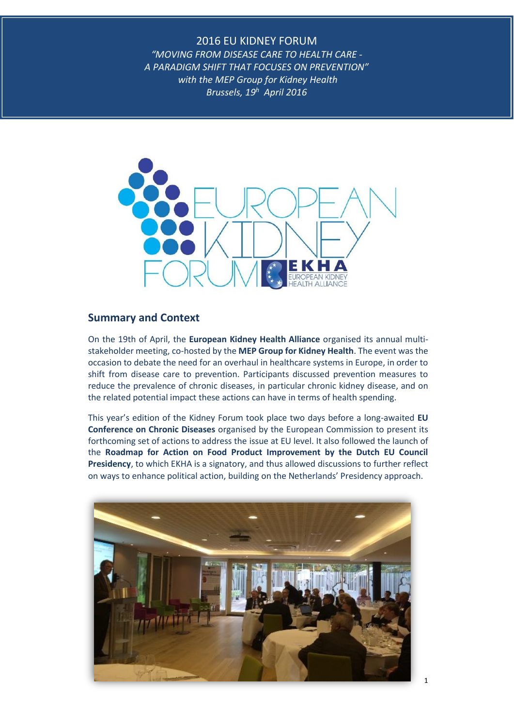*"MOVING FROM DISEASE CARE TO HEALTH CARE - A PARADIGM SHIFT THAT FOCUSES ON PREVENTION" with the MEP Group for Kidney Health Brussels, 19<sup>h</sup> April 2016*



### **Summary and Context**

On the 19th of April, the **European Kidney Health Alliance** organised its annual multistakeholder meeting, co-hosted by the **MEP Group for Kidney Health**. The event was the occasion to debate the need for an overhaul in healthcare systems in Europe, in order to shift from disease care to prevention. Participants discussed prevention measures to reduce the prevalence of chronic diseases, in particular chronic kidney disease, and on the related potential impact these actions can have in terms of health spending.

This year's edition of the Kidney Forum took place two days before a long-awaited **EU Conference on Chronic Diseases** organised by the European Commission to present its forthcoming set of actions to address the issue at EU level. It also followed the launch of the **Roadmap for Action on Food Product Improvement by the Dutch EU Council Presidency**, to which EKHA is a signatory, and thus allowed discussions to further reflect on ways to enhance political action, building on the Netherlands' Presidency approach.

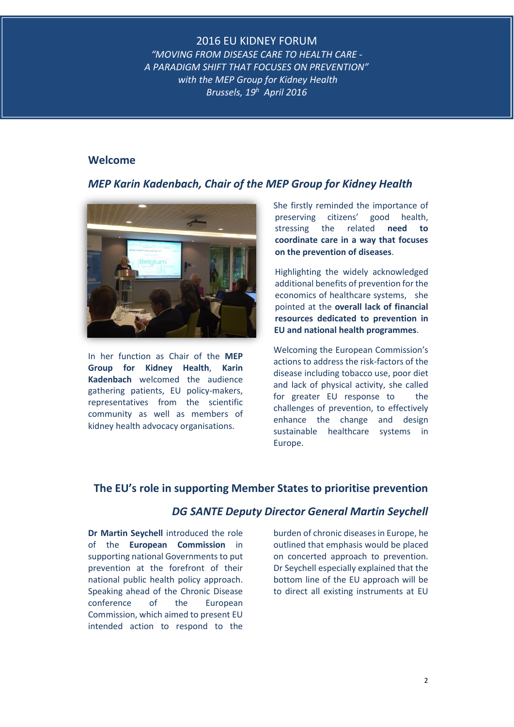*"MOVING FROM DISEASE CARE TO HEALTH CARE - A PARADIGM SHIFT THAT FOCUSES ON PREVENTION" with the MEP Group for Kidney Health Brussels, 19<sup>h</sup> April 2016*

## **Welcome**

### *MEP Karin Kadenbach, Chair of the MEP Group for Kidney Health*



In her function as Chair of the **MEP Group for Kidney Health**, **Karin Kadenbach** welcomed the audience gathering patients, EU policy-makers, representatives from the scientific community as well as members of kidney health advocacy organisations.

She firstly reminded the importance of preserving citizens' good health, stressing the related **need to coordinate care in a way that focuses on the prevention of diseases**.

Highlighting the widely acknowledged additional benefits of prevention for the economics of healthcare systems, she pointed at the **overall lack of financial resources dedicated to prevention in EU and national health programmes**.

Welcoming the European Commission's actions to address the risk-factors of the disease including tobacco use, poor diet and lack of physical activity, she called for greater EU response to the challenges of prevention, to effectively enhance the change and design sustainable healthcare systems in Europe.

# **The EU's role in supporting Member States to prioritise prevention**

### *DG SANTE Deputy Director General Martin Seychell*

**Dr Martin Seychell** introduced the role of the **European Commission** in supporting national Governments to put prevention at the forefront of their national public health policy approach. Speaking ahead of the Chronic Disease conference of the European Commission, which aimed to present EU intended action to respond to the

burden of chronic diseases in Europe, he outlined that emphasis would be placed on concerted approach to prevention. Dr Seychell especially explained that the bottom line of the EU approach will be to direct all existing instruments at EU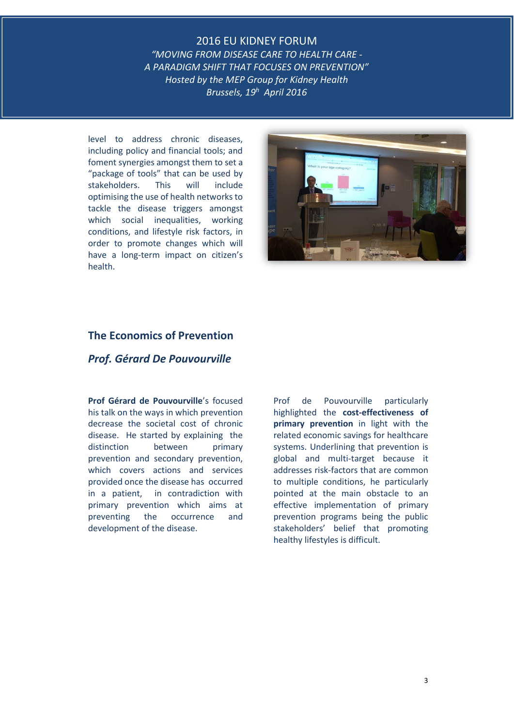2016 EU KIDNEY FORUM *"MOVING FROM DISEASE CARE TO HEALTH CARE - A PARADIGM SHIFT THAT FOCUSES ON PREVENTION" Hosted by the MEP Group for Kidney Health Brussels, 19<sup>h</sup> April 2016*

level to address chronic diseases, including policy and financial tools; and foment synergies amongst them to set a "package of tools" that can be used by stakeholders. This will include optimising the use of health networks to tackle the disease triggers amongst which social inequalities, working conditions, and lifestyle risk factors, in order to promote changes which will have a long-term impact on citizen's health.



## **The Economics of Prevention**

#### *Prof. Gérard De Pouvourville*

**Prof Gérard de Pouvourville**'s focused his talk on the ways in which prevention decrease the societal cost of chronic disease. He started by explaining the distinction between primary prevention and secondary prevention, which covers actions and services provided once the disease has occurred in a patient, in contradiction with primary prevention which aims at preventing the occurrence and development of the disease.

Prof de Pouvourville particularly highlighted the **cost-effectiveness of primary prevention** in light with the related economic savings for healthcare systems. Underlining that prevention is global and multi-target because it addresses risk-factors that are common to multiple conditions, he particularly pointed at the main obstacle to an effective implementation of primary prevention programs being the public stakeholders' belief that promoting healthy lifestyles is difficult.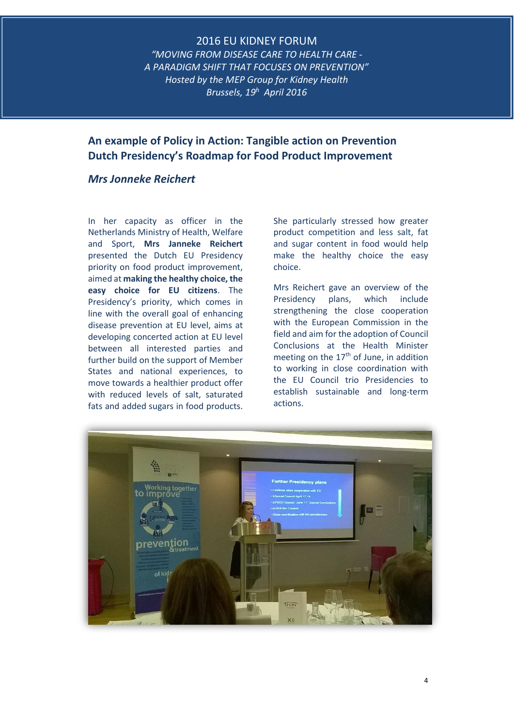*"MOVING FROM DISEASE CARE TO HEALTH CARE - A PARADIGM SHIFT THAT FOCUSES ON PREVENTION" Hosted by the MEP Group for Kidney Health Brussels, 19<sup>h</sup> April 2016*

# **An example of Policy in Action: Tangible action on Prevention Dutch Presidency's Roadmap for Food Product Improvement**

## *Mrs Jonneke Reichert*

In her capacity as officer in the Netherlands Ministry of Health, Welfare and Sport, **Mrs Janneke Reichert** presented the Dutch EU Presidency priority on food product improvement, aimed at **making the healthy choice, the easy choice for EU citizens**. The Presidency's priority, which comes in line with the overall goal of enhancing disease prevention at EU level, aims at developing concerted action at EU level between all interested parties and further build on the support of Member States and national experiences, to move towards a healthier product offer with reduced levels of salt, saturated fats and added sugars in food products.

She particularly stressed how greater product competition and less salt, fat and sugar content in food would help make the healthy choice the easy choice.

Mrs Reichert gave an overview of the Presidency plans, which include strengthening the close cooperation with the European Commission in the field and aim for the adoption of Council Conclusions at the Health Minister meeting on the  $17<sup>th</sup>$  of June, in addition to working in close coordination with the EU Council trio Presidencies to establish sustainable and long-term actions.

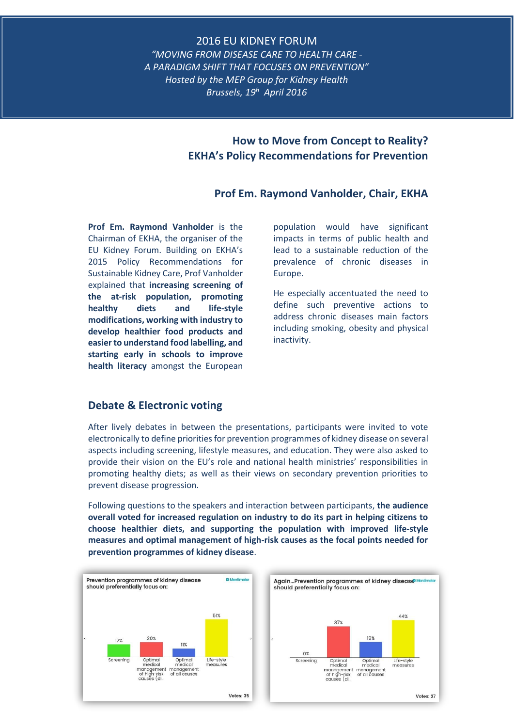*"MOVING FROM DISEASE CARE TO HEALTH CARE - A PARADIGM SHIFT THAT FOCUSES ON PREVENTION" Hosted by the MEP Group for Kidney Health Brussels, 19<sup>h</sup> April 2016*

# **How to Move from Concept to Reality? EKHA's Policy Recommendations for Prevention**

### **Prof Em. Raymond Vanholder, Chair, EKHA**

**Prof Em. Raymond Vanholder** is the Chairman of EKHA, the organiser of the EU Kidney Forum. Building on EKHA's 2015 Policy Recommendations for Sustainable Kidney Care, Prof Vanholder explained that **increasing screening of the at-risk population, promoting healthy diets and life-style modifications, working with industry to develop healthier food products and easier to understand food labelling, and starting early in schools to improve health literacy** amongst the European

population would have significant impacts in terms of public health and lead to a sustainable reduction of the prevalence of chronic diseases in Europe.

He especially accentuated the need to define such preventive actions to address chronic diseases main factors including smoking, obesity and physical inactivity.

#### **Debate & Electronic voting**

After lively debates in between the presentations, participants were invited to vote electronically to define priorities for prevention programmes of kidney disease on several aspects including screening, lifestyle measures, and education. They were also asked to provide their vision on the EU's role and national health ministries' responsibilities in promoting healthy diets; as well as their views on secondary prevention priorities to prevent disease progression.

Following questions to the speakers and interaction between participants, **the audience overall voted for increased regulation on industry to do its part in helping citizens to choose healthier diets, and supporting the population with improved life-style measures and optimal management of high-risk causes as the focal points needed for prevention programmes of kidney disease**.